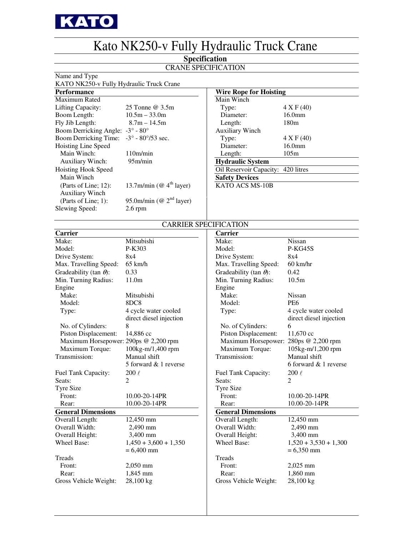

## Kato NK250-v Fully Hydraulic Truck Crane

### **Specification**

### CRANE SPECIFICATION

Name and Type

## KATO NK250-v Fully Hydraulic Truck Crane

| <b>Wire Rope for Hoisting</b>                             |                                                                                                            |
|-----------------------------------------------------------|------------------------------------------------------------------------------------------------------------|
| Main Winch                                                |                                                                                                            |
| Type:                                                     |                                                                                                            |
| Diameter:                                                 |                                                                                                            |
| 180m<br>Length:                                           |                                                                                                            |
| <b>Auxiliary Winch</b>                                    |                                                                                                            |
| Type:                                                     |                                                                                                            |
| Diameter:                                                 |                                                                                                            |
| 105m<br>Length:                                           |                                                                                                            |
| <b>Hydraulic System</b>                                   |                                                                                                            |
|                                                           |                                                                                                            |
| <b>Safety Devices</b>                                     |                                                                                                            |
| 13.7m/min ( $@$ 4 <sup>th</sup> layer)<br>KATO ACS MS-10B |                                                                                                            |
|                                                           |                                                                                                            |
| 95.0m/min (@ $2nd$ layer)                                 |                                                                                                            |
|                                                           |                                                                                                            |
|                                                           | 4 X F (40)<br>16.0 <sub>mm</sub><br>4 X F (40)<br>16.0 <sub>mm</sub><br>Oil Reservoir Capacity: 420 litres |

| <b>Wire Rope for Hoisting</b>      |                    |  |  |  |  |  |  |  |
|------------------------------------|--------------------|--|--|--|--|--|--|--|
| Main Winch                         |                    |  |  |  |  |  |  |  |
| Type:                              | 4 X F (40)         |  |  |  |  |  |  |  |
| Diameter:                          | 16.0 <sub>mm</sub> |  |  |  |  |  |  |  |
| Length:                            | 180m               |  |  |  |  |  |  |  |
| <b>Auxiliary Winch</b>             |                    |  |  |  |  |  |  |  |
| Type:                              | 4 X F (40)         |  |  |  |  |  |  |  |
| Diameter:                          | 16.0 <sub>mm</sub> |  |  |  |  |  |  |  |
| Length:                            | 105m               |  |  |  |  |  |  |  |
| <b>Hydraulic System</b>            |                    |  |  |  |  |  |  |  |
| Oil Reservoir Capacity: 420 litres |                    |  |  |  |  |  |  |  |
| <b>Safety Devices</b>              |                    |  |  |  |  |  |  |  |
|                                    |                    |  |  |  |  |  |  |  |

### CARRIER SPECIFICATION

| <b>Carrier</b>                        |                         | Carrier                               |                         |  |
|---------------------------------------|-------------------------|---------------------------------------|-------------------------|--|
| Make:                                 | Mitsubishi              | Make:                                 | Nissan                  |  |
| Model:                                | P-K303                  | Model:                                | P-KG45S                 |  |
| Drive System:                         | 8x4                     | Drive System:                         | 8x4                     |  |
| Max. Travelling Speed:                | $65$ km/h               | Max. Travelling Speed:                | $60$ km/hr              |  |
| Gradeability (tan $\theta$ ):         | 0.33                    | Gradeability (tan $\theta$ ):         | 0.42                    |  |
| Min. Turning Radius:                  | 11.0 <sub>m</sub>       | Min. Turning Radius:                  | 10.5m                   |  |
| Engine                                |                         | Engine                                |                         |  |
| Make:                                 | Mitsubishi              | Make:                                 | Nissan                  |  |
| Model:                                | 8DC8                    | Model:                                | PE <sub>6</sub>         |  |
| Type:                                 | 4 cycle water cooled    | Type:                                 | 4 cycle water cooled    |  |
|                                       | direct diesel injection |                                       | direct diesel injection |  |
| No. of Cylinders:                     | 8                       | No. of Cylinders:                     | 6                       |  |
| Piston Displacement:                  | 14,886 cc               | Piston Displacement:                  | 11,670 cc               |  |
| Maximum Horsepower: 290ps @ 2,200 rpm |                         | Maximum Horsepower: 280ps @ 2,200 rpm |                         |  |
| Maximum Torque:                       | 100kg-m/1,400 rpm       | Maximum Torque:                       | 105kg-m/1,200 rpm       |  |
| Transmission:                         | Manual shift            | Transmission:                         | Manual shift            |  |
|                                       | 5 forward & 1 reverse   |                                       | 6 forward & 1 reverse   |  |
| Fuel Tank Capacity:                   | $200~\ell$              | Fuel Tank Capacity:                   | $200~\ell$              |  |
| Seats:                                | $\overline{c}$          | Seats:                                | $\overline{c}$          |  |
| <b>Tyre Size</b>                      |                         | <b>Tyre Size</b>                      |                         |  |
| Front:                                | 10.00-20-14PR           | Front:                                | 10.00-20-14PR           |  |
| Rear:                                 | 10.00-20-14PR           | Rear:                                 | 10.00-20-14PR           |  |
| <b>General Dimensions</b>             |                         | <b>General Dimensions</b>             |                         |  |
| Overall Length:                       | 12,450 mm               | Overall Length:                       | 12,450 mm               |  |
| Overall Width:                        | 2,490 mm                | Overall Width:                        | 2,490 mm                |  |
| Overall Height:                       | 3,400 mm                | Overall Height:                       | 3,400 mm                |  |
| Wheel Base:                           | $1,450 + 3,600 + 1,350$ | <b>Wheel Base:</b>                    | $1,520 + 3,530 + 1,300$ |  |
|                                       | $= 6,400$ mm            |                                       | $= 6,350$ mm            |  |
| Treads                                |                         | Treads                                |                         |  |
| Front:                                | 2,050 mm                | Front:                                | 2,025 mm                |  |
| Rear:                                 | 1,845 mm                | Rear:                                 | 1,860 mm                |  |
| Gross Vehicle Weight:                 | 28,100 kg               | Gross Vehicle Weight:                 | 28,100 kg               |  |
|                                       |                         |                                       |                         |  |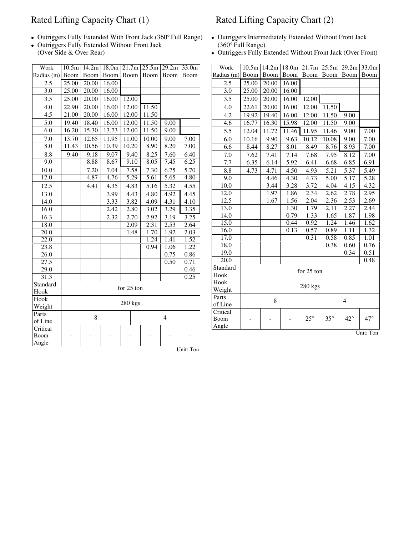## Rated Lifting Capacity Chart (1) Rated Lifting Capacity Chart (2)

- Outriggers Fully Extended With Front Jack (360° Full Range) Outriggers Intermediately Extended Without Front Jack
- Outriggers Fully Extended Without Front Jack (360° Full Range)<br>
(Over Side & Over Rear) Outriggers Fully E

| Work             | 10.5m               | 14.2m | 18.0m | 21.7m      | 25.5m             | 29.2m | 33.0m     |
|------------------|---------------------|-------|-------|------------|-------------------|-------|-----------|
| Radius (m)       | Boom                | Boom  | Boom  | Boom       | Boom              | Boom  | Boom      |
| 2.5              | 25.00               | 20.00 | 16.00 |            |                   |       |           |
| 3.0              | 25.00               | 20.00 | 16.00 |            |                   |       |           |
| 3.5              | 25.00               | 20.00 | 16.00 | 12.00      |                   |       |           |
| 4.0              | 22.90               | 20.00 | 16.00 | 12.00      | 11.50             |       |           |
| 4.5              | 21.00               | 20.00 | 16.00 | 12.00      | 11.50             |       |           |
| 5.0              | 19.40               | 18.40 | 16.00 | 12.00      | 11.50             | 9.00  |           |
| 6.0              | 16.20               | 15.30 | 13.73 | 12.00      | 11.50             | 9.00  |           |
| 7.0              | 13.70               | 12.65 | 11.95 | 11.00      | 10.00             | 9.00  | 7.00      |
| 8.0              | 11.43               | 10.56 | 10.39 | 10.20      | 8.90              | 8.20  | 7.00      |
| 8.8              | 9.40                | 9.18  | 9.07  | 9.40       | 8.25              | 7.60  | 6.40      |
| 9.0              |                     | 8.88  | 8.67  | 9.10       | 8.05              | 7.45  | 6.25      |
| 10.0             |                     | 7.20  | 7.04  | 7.58       | 7.30              | 6.75  | 5.70      |
| 12.0             |                     | 4.87  | 4.76  | 5.29       | 5.61              | 5.65  | 4.80      |
| 12.5             |                     | 4.41  | 4.35  | 4.83       | $\overline{5.16}$ | 5.32  | 4.55      |
| 13.0             |                     |       | 3.99  | 4.43       | 4.80              | 4.92  | 4.45      |
| 14.0             |                     |       | 3.33  | 3.82       | 4.09              | 4.31  | 4.10      |
| 16.0             |                     |       | 2.42  | 2.80       | 3.02              | 3.29  | 3.35      |
| 16.3             |                     |       | 2.32  | 2.70       | 2.92              | 3.19  | 3.25      |
| 18.0             |                     |       |       | 2.09       | 2.31              | 2.53  | 2.64      |
| 20.0             |                     |       |       | 1.48       | 1.70              | 1.92  | 2.03      |
| 22.0             |                     |       |       |            | 1.24              | 1.41  | 1.52      |
| 23.8             |                     |       |       |            | 0.94              | 1.06  | 1.22      |
| 26.0             |                     |       |       |            |                   | 0.75  | 0.86      |
| 27.5             |                     |       |       |            |                   | 0.50  | 0.71      |
| 29.0             |                     |       |       |            |                   |       | 0.46      |
| 31.3             |                     |       |       |            |                   |       | 0.25      |
| Standard         |                     |       |       | for 25 ton |                   |       |           |
| Hook             |                     |       |       |            |                   |       |           |
| Hook             |                     |       |       | 280 kgs    |                   |       |           |
| Weight           |                     |       |       |            |                   |       |           |
| Parts            | 8<br>$\overline{4}$ |       |       |            |                   |       |           |
| of Line          |                     |       |       |            |                   |       |           |
| Critical<br>Boom |                     |       |       |            |                   |       |           |
| Angle            |                     |       |       |            |                   |       |           |
|                  |                     |       |       |            |                   |       | Unit: Ton |

- 
- Outriggers Fully Extended Without Front Jack (Over Front)

| Work                | 10.5m | 14.2m | 18.0m | 21.7m        | 25.5m          | 29.2m        | 33.0m      |  |
|---------------------|-------|-------|-------|--------------|----------------|--------------|------------|--|
| Radius (m)          | Boom  | Boom  | Boom  | Boom         | <b>Boom</b>    | Boom         | Boom       |  |
| 2.5                 | 25.00 | 20.00 | 16.00 |              |                |              |            |  |
| 3.0                 | 25.00 | 20.00 | 16.00 |              |                |              |            |  |
| 3.5                 | 25.00 | 20.00 | 16.00 | 12.00        |                |              |            |  |
| 4.0                 | 22.61 | 20.00 | 16.00 | 12.00        | 11.50          |              |            |  |
| 4.2                 | 19.92 | 19.40 | 16.00 | 12.00        | 11.50          | 9.00         |            |  |
| 4.6                 | 16.77 | 16.30 | 15.98 | 12.00        | 11.50          | 9.00         |            |  |
| 5.5                 | 12.04 | 11.72 | 11.46 | 11.95        | 11.46          | 9.00         | 7.00       |  |
| 6.0                 | 10.16 | 9.90  | 9.63  | 10.12        | 10.08          | 9.00         | 7.00       |  |
| 6.6                 | 8.44  | 8.27  | 8.01  | 8.49         | 8.76           | 8.93         | 7.00       |  |
| 7.0                 | 7.62  | 7.41  | 7.14  | 7.68         | 7.95           | 8.12         | 7.00       |  |
| 7.7                 | 6.35  | 6.14  | 5.92  | 6.41         | 6.68           | 6.85         | 6.91       |  |
| 8.8                 | 4.73  | 4.71  | 4.50  | 4.93         | 5.21           | 5.37         | 5.49       |  |
| 9.0                 |       | 4.46  | 4.30  | 4.73         | 5.00           | 5.17         | 5.28       |  |
| 10.0                |       | 3.44  | 3.28  | 3.72         | 4.04           | 4.15         | 4.32       |  |
| 12.0                |       | 1.97  | 1.86  | 2.34         | 2.62           | 2.78         | 2.95       |  |
| 12.5                |       | 1.67  | 1.56  | 2.04         | 2.36           | 2.53         | 2.69       |  |
| 13.0                |       |       | 1.30  | 1.79         | 2.11           | 2.27         | 2.44       |  |
| 14.0                |       |       | 0.79  | 1.33         | 1.65           | 1.87         | 1.98       |  |
| 15.0                |       |       | 0.44  | 0.92         | 1.24           | 1.46         | 1.62       |  |
| 16.0                |       |       | 0.13  | 0.57         | 0.89           | 1.11         | 1.32       |  |
| 17.0                |       |       |       | 0.31         | 0.58           | 0.85         | 1.01       |  |
| 18.0                |       |       |       |              | 0.38           | 0.60         | 0.76       |  |
| 19.0                |       |       |       |              |                | 0.34         | 0.51       |  |
| 20.0                |       |       |       |              |                |              | 0.48       |  |
| Standard            |       |       |       | for 25 ton   |                |              |            |  |
| Hook                |       |       |       |              |                |              |            |  |
| Hook                |       |       |       | 280 kgs      |                |              |            |  |
| Weight              |       |       |       |              |                |              |            |  |
| Parts               |       | 8     |       |              | $\overline{4}$ |              |            |  |
| of Line<br>Critical |       |       |       |              |                |              |            |  |
| Boom                |       |       |       | $25^{\circ}$ | $35^{\circ}$   | $42^{\circ}$ | $47^\circ$ |  |
| Angle               |       |       |       |              |                |              |            |  |
|                     |       |       |       |              |                |              | Unit: Ton  |  |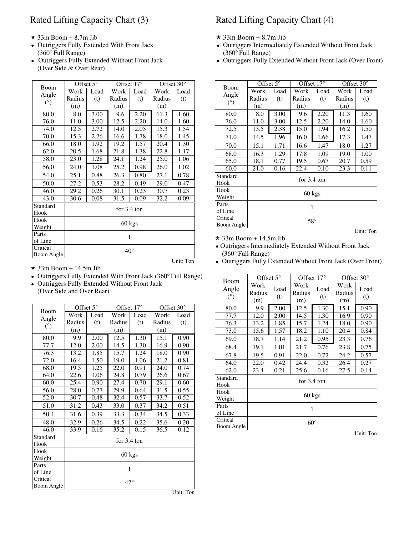- $\star$  33m Boom + 8.7m Jib  $\star$
- (360° Full Range) (360° Full Range)
- (Over Side & Over Rear)

| Boom         | Offset 5° |              | Offset 17°            |      | Offset 30° |      |  |  |  |
|--------------|-----------|--------------|-----------------------|------|------------|------|--|--|--|
|              | Work      | Load         | Work                  | Load | Work       | Load |  |  |  |
| Angle<br>(°) | Radius    | (t)          | Radius                | (t)  | Radius     | (t)  |  |  |  |
|              | (m)       |              | (m)                   |      | (m)        |      |  |  |  |
| 80.0         | 8.0       | 3.00         | 9.6                   | 2.20 | 11.3       | 1.60 |  |  |  |
| 76.0         | 11.0      | 3.00         | 12.5                  | 2.20 | 14.0       | 1.60 |  |  |  |
| 74.0         | 12.5      | 2.72         | 14.0                  | 2.05 | 15.3       | 1.54 |  |  |  |
| 70.0         | 15.3      | 2.26         | 16.6                  | 1.78 | 18.0       | 1.45 |  |  |  |
| 66.0         | 18.0      | 1.92         | 19.2                  | 1.57 | 20.4       | 1.30 |  |  |  |
| 62.0         | 20.5      | 1.68         | 21.8                  | 1.38 | 22.8       | 1.17 |  |  |  |
| 58.0         | 23.0      | 1.28         | 24.1                  | 1.24 | 25.0       | 1.06 |  |  |  |
| 56.0         | 24.0      | 1.08         | 25.2                  | 0.98 | 26.0       | 1.02 |  |  |  |
| 54.0         | 25.1      | 0.88         | 26.3                  | 0.80 | 27.1       | 0.78 |  |  |  |
| 50.0         | 27.2      | 0.53         | 28.2                  | 0.49 | 29.0       | 0.47 |  |  |  |
| 46.0         | 29.2      | 0.26         | 30.1                  | 0.23 | 30.7       | 0.23 |  |  |  |
| 43.0         | 30.6      | 0.08         | 31.5                  | 0.09 | 32.2       | 0.09 |  |  |  |
| Standard     |           |              | for $3.4 \text{ ton}$ |      |            |      |  |  |  |
| Hook         |           |              |                       |      |            |      |  |  |  |
| Hook         |           |              | 60 kgs                |      |            |      |  |  |  |
| Weight       |           |              |                       |      |            |      |  |  |  |
| Parts        |           |              | 1                     |      |            |      |  |  |  |
| of Line      |           |              |                       |      |            |      |  |  |  |
| Critical     |           |              |                       |      |            |      |  |  |  |
| Boom Angle   |           | $40^{\circ}$ |                       |      |            |      |  |  |  |

- $\star$  33m Boom + 14.5m Jib
- Outriggers Fully Extended With Front Jack (360° Full Range)
- Outriggers Fully Extended Without Front Jack

(Over Side and Over Rear)

| Boom             |        | Offset $5^\circ$ |                       | Offset 17°                          | Offset 30° |      |  |  |  |  |  |
|------------------|--------|------------------|-----------------------|-------------------------------------|------------|------|--|--|--|--|--|
|                  | Work   | Load             | Work                  | Load                                | Work       | Load |  |  |  |  |  |
| Angle<br>(°)     | Radius | (t)              | Radius                | (t)                                 | Radius     | (t)  |  |  |  |  |  |
|                  | (m)    |                  | (m)                   |                                     | (m)        |      |  |  |  |  |  |
| 80.0             | 9.9    | 2.00             | 12.5                  | 1.30                                | 15.1       | 0.90 |  |  |  |  |  |
| 77.7             | 12.0   | 2.00             | 14.5                  | 1.30                                | 16.9       | 0.90 |  |  |  |  |  |
| 76.3             | 13.2   | 1.85             | 15.7                  | 1.24                                | 18.0       | 0.90 |  |  |  |  |  |
| 72.0             | 16.4   | 1.50             | 19.0                  | 1.06                                | 21.2       | 0.81 |  |  |  |  |  |
| 68.0             | 19.5   | 1.25             | 22.0                  | 0.91                                | 24.0       | 0.74 |  |  |  |  |  |
| 64.0             | 22.6   | 1.06             | 24.8                  | 0.79                                | 26.6       | 0.67 |  |  |  |  |  |
| 60.0             | 25.4   | 0.90             | 27.4                  | 0.70                                | 29.1       | 0.60 |  |  |  |  |  |
| 56.0             | 28.0   | 0.77             | 29.9                  | 0.64                                | 31.5       | 0.55 |  |  |  |  |  |
| 52.0             | 30.7   | 0.48             | 32.4                  | 0.57                                | 33.7       | 0.52 |  |  |  |  |  |
| 51.0             | 31.2   | 0.43             | 33.0                  | 0.37                                | 34.2       | 0.51 |  |  |  |  |  |
| 50.4             | 31.6   | 0.39             | 33.3                  | 0.34                                | 34.5       | 0.33 |  |  |  |  |  |
| 48.0             | 32.9   | 0.26             | 34.5                  | 0.22                                | 35.6       | 0.20 |  |  |  |  |  |
| 46.0             | 33.9   | 0.16             | 35.2                  | 0.15                                | 36.5       | 0.12 |  |  |  |  |  |
| Standard<br>Hook |        |                  | for $3.4 \text{ ton}$ |                                     |            |      |  |  |  |  |  |
| Hook             |        |                  |                       | 60 kgs                              |            |      |  |  |  |  |  |
| Weight           |        |                  |                       |                                     |            |      |  |  |  |  |  |
| Parts            |        |                  |                       |                                     |            |      |  |  |  |  |  |
| of Line          |        | 1                |                       |                                     |            |      |  |  |  |  |  |
| Critical         |        |                  |                       |                                     |            |      |  |  |  |  |  |
| Boom Angle       |        |                  |                       | $42^{\circ}$<br>$T$ $T$ $T$ $T$ $T$ |            |      |  |  |  |  |  |

### Rated Lifting Capacity Chart (3) Rated Lifting Capacity Chart (4)

- $\star$  33m Boom + 8.7m Jib
- Outriggers Fully Extended With Front Jack Outriggers Intermediately Extended Without Front Jack
- Outriggers Fully Extended Without Front Jack Outriggers Fully Extended Without Front Jack (Over Front)

|               | Offset $5^\circ$ |              | Offset $17^\circ$     |      | Offset $30^\circ$ |           |  |  |  |
|---------------|------------------|--------------|-----------------------|------|-------------------|-----------|--|--|--|
| Boom<br>Angle | Work             | Load         | Work                  | Load | Work              | Load      |  |  |  |
|               | Radius           | (t)          | Radius                | (t)  | Radius            | (t)       |  |  |  |
| $(^\circ)$    | (m)              |              | (m)                   |      | (m)               |           |  |  |  |
| 80.0          | 8.0              | 3.00         | 9.6                   | 2.20 | 11.3              | 1.60      |  |  |  |
| 76.0          | 11.0             | 3.00         | 12.5                  | 2.20 | 14.0              | 1.60      |  |  |  |
| 72.5          | 13.5             | 2.38         | 15.0                  | 1.94 | 16.2              | 1.50      |  |  |  |
| 71.0          | 14.5             | 1.96         | 16.0                  | 1.66 | 17.3              | 1.47      |  |  |  |
| 70.0          | 15.1             | 1.71         | 16.6                  | 1.47 | 18.0              | 1.27      |  |  |  |
| 68.0          | 16.3             | 1.29         | 17.8                  | 1.09 | 19.0              | 1.00      |  |  |  |
| 65.0          | 18.1             | 0.77         | 19.5                  | 0.67 | 20.7              | 0.59      |  |  |  |
| 60.0          | 21.0             | 0.16         | 22.4                  | 0.10 | 23.3              | 0.11      |  |  |  |
| Standard      |                  |              | for $3.4 \text{ ton}$ |      |                   |           |  |  |  |
| Hook          |                  |              |                       |      |                   |           |  |  |  |
| Hook          |                  |              | $60 \text{ kgs}$      |      |                   |           |  |  |  |
| Weight        |                  |              |                       |      |                   |           |  |  |  |
| Parts         |                  |              |                       |      |                   |           |  |  |  |
| of Line       |                  | 1            |                       |      |                   |           |  |  |  |
| Critical      |                  | $58^{\circ}$ |                       |      |                   |           |  |  |  |
| Boom Angle    |                  |              |                       |      |                   |           |  |  |  |
|               |                  |              |                       |      |                   | Unit: Ton |  |  |  |

 $\star$  33m Boom + 14.5m Jib

 Outriggers Intermediately Extended Without Front Jack (360° Full Range)

Outriggers Fully Extended Without Front Jack (Over Front)

| Boom             | Offset $5^\circ$      |             | Offset $17^\circ$     |             | Offset $30^\circ$     |             |  |  |  |
|------------------|-----------------------|-------------|-----------------------|-------------|-----------------------|-------------|--|--|--|
| Angle<br>(°)     | Work<br>Radius<br>(m) | Load<br>(t) | Work<br>Radius<br>(m) | Load<br>(t) | Work<br>Radius<br>(m) | Load<br>(t) |  |  |  |
| 80.0             | 9.9                   | 2.00        | 12.5                  | 1.30        | 15.1                  | 0.90        |  |  |  |
| 77.7             | 12.0                  | 2.00        | 14.5                  | 1.30        | 16.9                  | 0.90        |  |  |  |
| 76.3             | 13.2                  | 1.85        | 15.7                  | 1.24        | 18.0                  | 0.90        |  |  |  |
| 73.0             | 15.6                  | 1.57        | 18.2                  | 1.10        | 20.4                  | 0.84        |  |  |  |
| 69.0             | 18.7                  | 1.14        | 21.2                  | 0.95        | 23.3                  | 0.76        |  |  |  |
| 68.4             | 19.1                  | 1.01        | 21.7                  | 0.76        | 23.8                  | 0.75        |  |  |  |
| 67.8             | 19.5                  | 0.91        | 22.0                  | 0.72        | 24.2                  | 0.57        |  |  |  |
| 64.0             | 22.0                  | 0.42        | 24.4                  | 0.32        | 26.4                  | 0.27        |  |  |  |
| 62.0             | 23.4                  | 0.21        | 25.6                  | 0.16        | 27.5                  | 0.14        |  |  |  |
| Standard<br>Hook |                       |             | for $3.4 \text{ ton}$ |             |                       |             |  |  |  |
| Hook<br>Weight   |                       | 60 kgs      |                       |             |                       |             |  |  |  |
| Parts            |                       | 1           |                       |             |                       |             |  |  |  |
| of Line          |                       |             |                       |             |                       |             |  |  |  |
| Critical         |                       |             | $60^{\circ}$          |             |                       |             |  |  |  |
| Boom Angle       |                       |             |                       |             |                       | $- -$       |  |  |  |

Unit: Ton

Unit: Ton

Unit: Ton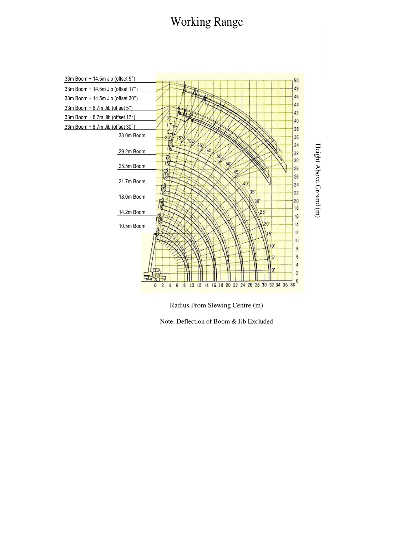# Working Range



Radius From Slewing Centre (m)

Note: Deflection of Boom & Jib Excluded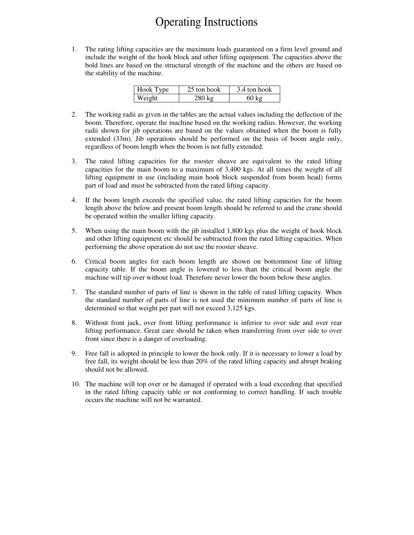## Operating Instructions

1. The rating lifting capacities are the maximum loads guaranteed on a firm level ground and include the weight of the hook block and other lifting equipment. The capacities above the bold lines are based on the structural strength of the machine and the others are based on the stability of the machine.

| Hook Type | 25 ton hook | 3.4 ton hook    |
|-----------|-------------|-----------------|
| Weight    | $280$ kg    | $60 \text{ kg}$ |

- 2. The working radii as given in the tables are the actual values including the deflection of the boom. Therefore, operate the machine based on the working radius. However, the working radii shown for jib operations are based on the values obtained when the boom is fully extended (33m). Jib operations should be performed on the basis of boom angle only, regardless of boom length when the boom is not fully extended.
- 3. The rated lifting capacities for the rooster sheave are equivalent to the rated lifting capacities for the main boom to a maximum of 3,400 kgs. At all times the weight of all lifting equipment in use (including main hook block suspended from boom head) forms part of load and must be subtracted from the rated lifting capacity.
- 4. If the boom length exceeds the specified value, the rated lifting capacities for the boom length above the below and present boom length should be referred to and the crane should be operated within the smaller lifting capacity.
- 5. When using the main boom with the jib installed 1,800 kgs plus the weight of hook block and other lifting equipment etc should be subtracted from the rated lifting capacities. When performing the above operation do not use the rooster sheave.
- 6. Critical boom angles for each boom length are shown on bottommost line of lifting capacity table. If the boom angle is lowered to less than the critical boom angle the machine will tip over without load. Therefore never lower the boom below these angles.
- 7. The standard number of parts of line is shown in the table of rated lifting capacity. When the standard number of parts of line is not used the minimum number of parts of line is determined so that weight per part will not exceed 3,125 kgs.
- 8. Without front jack, over front lifting performance is inferior to over side and over rear lifting performance. Great care should be taken when transferring from over side to over front since there is a danger of overloading.
- 9. Free fall is adopted in principle to lower the hook only. If it is necessary to lower a load by free fall, its weight should be less than 20% of the rated lifting capacity and abrupt braking should not be allowed.
- 10. The machine will top over or be damaged if operated with a load exceeding that specified in the rated lifting capacity table or not conforming to correct handling. If such trouble occurs the machine will not be warranted.